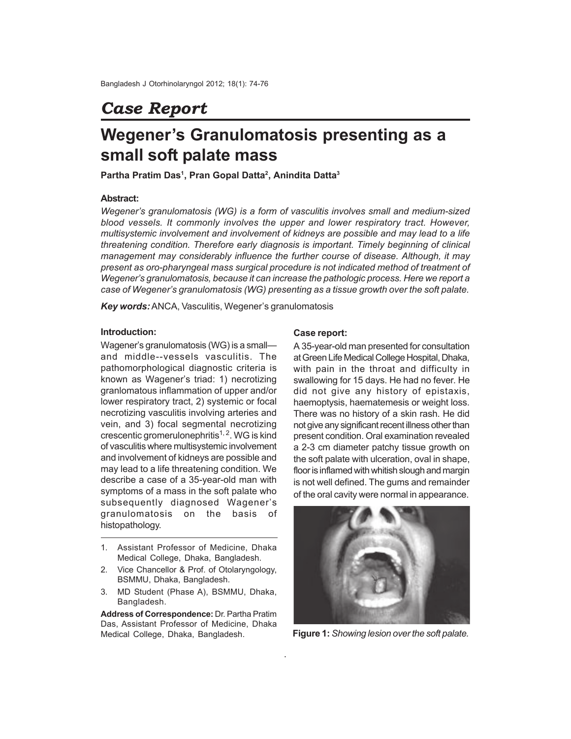# *Case Report*

# **Wegener's Granulomatosis presenting as a small soft palate mass**

**Partha Pratim Das<sup>1</sup> , Pran Gopal Datta<sup>2</sup> , Anindita Datta<sup>3</sup>**

## **Abstract:**

*Wegener's granulomatosis (WG) is a form of vasculitis involves small and medium-sized blood vessels. It commonly involves the upper and lower respiratory tract. However, multisystemic involvement and involvement of kidneys are possible and may lead to a life threatening condition. Therefore early diagnosis is important. Timely beginning of clinical management may considerably influence the further course of disease. Although, it may present as oro-pharyngeal mass surgical procedure is not indicated method of treatment of Wegener's granulomatosis, because it can increase the pathologic process. Here we report a case of Wegener's granulomatosis (WG) presenting as a tissue growth over the soft palate.*

.

*Key words:*ANCA, Vasculitis, Wegener's granulomatosis

#### **Introduction:**

Wagener's granulomatosis (WG) is a small and middle--vessels vasculitis. The pathomorphological diagnostic criteria is known as Wagener's triad: 1) necrotizing granlomatous inflammation of upper and/or lower respiratory tract, 2) systemic or focal necrotizing vasculitis involving arteries and vein, and 3) focal segmental necrotizing crescentic gromerulonephritis<sup>1, 2</sup>. WG is kind of vasculitis where multisystemic involvement and involvement of kidneys are possible and may lead to a life threatening condition. We describe a case of a 35-year-old man with symptoms of a mass in the soft palate who subsequently diagnosed Wagener's granulomatosis on the basis of histopathology.

- 1. Assistant Professor of Medicine, Dhaka Medical College, Dhaka, Bangladesh.
- 2. Vice Chancellor & Prof. of Otolaryngology, BSMMU, Dhaka, Bangladesh.
- 3. MD Student (Phase A), BSMMU, Dhaka, Bangladesh.

**Address of Correspondence:** Dr. Partha Pratim Das, Assistant Professor of Medicine, Dhaka Medical College, Dhaka, Bangladesh.

#### **Case report:**

A 35-year-old man presented for consultation at Green Life Medical College Hospital, Dhaka, with pain in the throat and difficulty in swallowing for 15 days. He had no fever. He did not give any history of epistaxis, haemoptysis, haematemesis or weight loss. There was no history of a skin rash. He did not give any significant recent illness other than present condition. Oral examination revealed a 2-3 cm diameter patchy tissue growth on the soft palate with ulceration, oval in shape, floor is inflamed with whitish slough and margin is not well defined. The gums and remainder of the oral cavity were normal in appearance.



**Figure 1:** *Showing lesion over the soft palate.*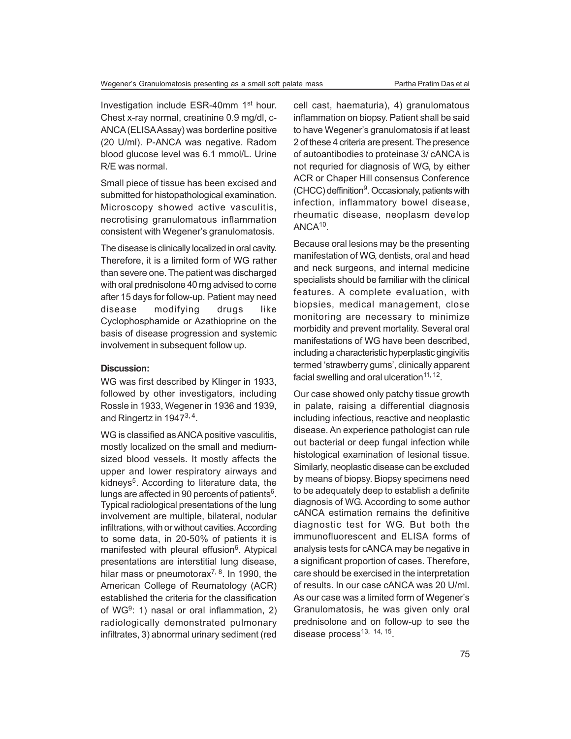Investigation include ESR-40mm 1st hour. Chest x-ray normal, creatinine 0.9 mg/dl, c-ANCA (ELISAAssay) was borderline positive (20 U/ml). P-ANCA was negative. Radom blood glucose level was 6.1 mmol/L. Urine R/E was normal.

Small piece of tissue has been excised and submitted for histopathological examination. Microscopy showed active vasculitis, necrotising granulomatous inflammation consistent with Wegener's granulomatosis.

The disease is clinically localized in oral cavity. Therefore, it is a limited form of WG rather than severe one. The patient was discharged with oral prednisolone 40 mg advised to come after 15 days for follow-up. Patient may need disease modifying drugs like Cyclophosphamide or Azathioprine on the basis of disease progression and systemic involvement in subsequent follow up.

## **Discussion:**

WG was first described by Klinger in 1933, followed by other investigators, including Rossle in 1933, Wegener in 1936 and 1939, and Ringertz in 1947<sup>3, 4</sup>.

WG is classified as ANCA positive vasculitis, mostly localized on the small and mediumsized blood vessels. It mostly affects the upper and lower respiratory airways and kidneys<sup>5</sup>. According to literature data, the lungs are affected in 90 percents of patients<sup>6</sup>. Typical radiological presentations of the lung involvement are multiple, bilateral, nodular infiltrations, with or without cavities. According to some data, in 20-50% of patients it is manifested with pleural effusion<sup>6</sup>. Atypical presentations are interstitial lung disease, hilar mass or pneumotorax<sup>7, 8</sup>. In 1990, the American College of Reumatology (ACR) established the criteria for the classification of WG<sup>9</sup>: 1) nasal or oral inflammation, 2) radiologically demonstrated pulmonary infiltrates, 3) abnormal urinary sediment (red cell cast, haematuria), 4) granulomatous inflammation on biopsy. Patient shall be said to have Wegener's granulomatosis if at least 2 of these 4 criteria are present. The presence of autoantibodies to proteinase 3/ cANCA is not requried for diagnosis of WG, by either ACR or Chaper Hill consensus Conference (CHCC) deffinition<sup>9</sup>. Occasionaly, patients with infection, inflammatory bowel disease, rheumatic disease, neoplasm develop ANCA<sup>10</sup> .

Because oral lesions may be the presenting manifestation of WG, dentists, oral and head and neck surgeons, and internal medicine specialists should be familiar with the clinical features. A complete evaluation, with biopsies, medical management, close monitoring are necessary to minimize morbidity and prevent mortality. Several oral manifestations of WG have been described, including a characteristic hyperplastic gingivitis termed 'strawberry gums', clinically apparent facial swelling and oral ulceration<sup>11, 12</sup>.

Our case showed only patchy tissue growth in palate, raising a differential diagnosis including infectious, reactive and neoplastic disease. An experience pathologist can rule out bacterial or deep fungal infection while histological examination of lesional tissue. Similarly, neoplastic disease can be excluded by means of biopsy. Biopsy specimens need to be adequately deep to establish a definite diagnosis of WG. According to some author cANCA estimation remains the definitive diagnostic test for WG. But both the immunofluorescent and ELISA forms of analysis tests for cANCA may be negative in a significant proportion of cases. Therefore, care should be exercised in the interpretation of results. In our case cANCA was 20 U/ml. As our case was a limited form of Wegener's Granulomatosis, he was given only oral prednisolone and on follow-up to see the disease process $13, 14, 15$ .